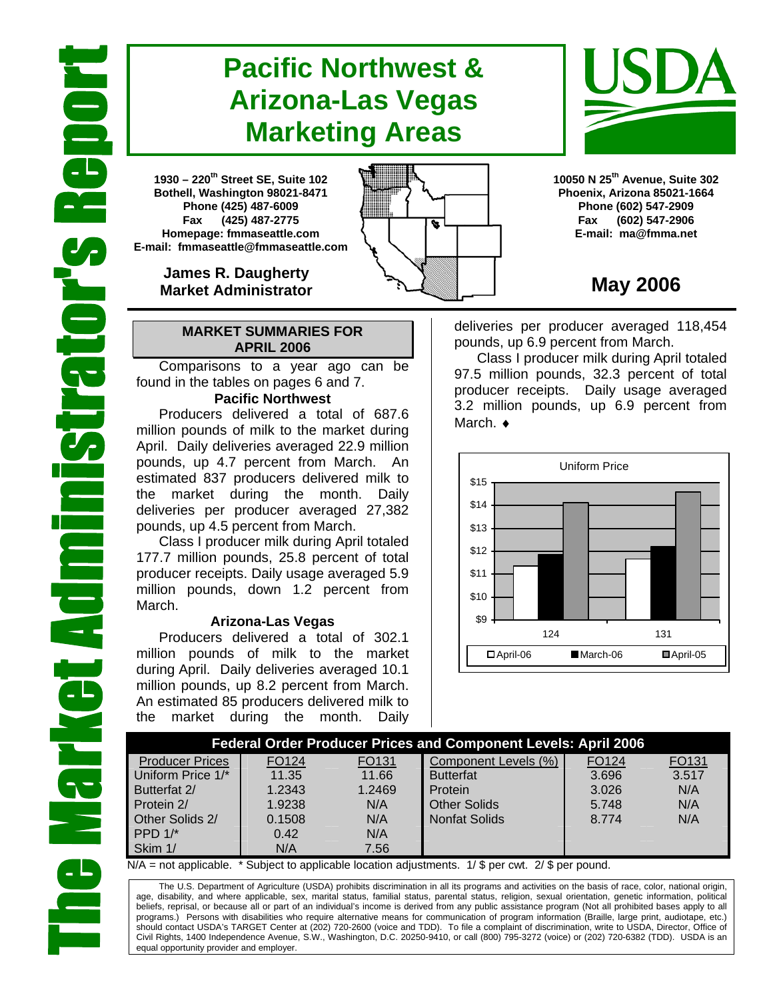# **Pacific Northwest & Arizona-Las Vegas Marketing Areas**

**1930 – 220th Street SE, Suite 102 Bothell, Washington 98021-8471 Phone (425) 487-6009 Fax (425) 487-2775 Homepage: fmmaseattle.com E-mail: fmmaseattle@fmmaseattle.com**

> **James R. Daugherty Market Administrator**

### **MARKET SUMMARIES FOR APRIL 2006**

 Comparisons to a year ago can be found in the tables on pages 6 and 7.

### **Pacific Northwest**

Producers delivered a total of 687.6 million pounds of milk to the market during April. Daily deliveries averaged 22.9 million pounds, up 4.7 percent from March. An estimated 837 producers delivered milk to the market during the month. Daily deliveries per producer averaged 27,382 pounds, up 4.5 percent from March.

Class I producer milk during April totaled 177.7 million pounds, 25.8 percent of total producer receipts. Daily usage averaged 5.9 million pounds, down 1.2 percent from March.

### **Arizona-Las Vegas**

Producers delivered a total of 302.1 million pounds of milk to the market during April. Daily deliveries averaged 10.1 million pounds, up 8.2 percent from March. An estimated 85 producers delivered milk to the market during the month. Daily **10050 N 25th Avenue, Suite 302 Phoenix, Arizona 85021-1664 Phone (602) 547-2909 Fax (602) 547-2906 E-mail: ma@fmma.net**

## **May 2006**

deliveries per producer averaged 118,454 pounds, up 6.9 percent from March.

Class I producer milk during April totaled 97.5 million pounds, 32.3 percent of total producer receipts. Daily usage averaged 3.2 million pounds, up 6.9 percent from March. ♦



| <b>Federal Order Producer Prices and Component Levels: April 2006</b> |        |        |                      |                   |       |  |  |  |  |
|-----------------------------------------------------------------------|--------|--------|----------------------|-------------------|-------|--|--|--|--|
| <b>Producer Prices</b>                                                | FO124  | FO131  | Component Levels (%) | FO <sub>124</sub> | FO131 |  |  |  |  |
| Uniform Price 1/*                                                     | 11.35  | 11.66  | <b>Butterfat</b>     | 3.696             | 3.517 |  |  |  |  |
| Butterfat 2/                                                          | 1.2343 | 1.2469 | Protein              | 3.026             | N/A   |  |  |  |  |
| Protein 2/                                                            | 1.9238 | N/A    | <b>Other Solids</b>  | 5.748             | N/A   |  |  |  |  |
| Other Solids 2/                                                       | 0.1508 | N/A    | <b>Nonfat Solids</b> | 8.774             | N/A   |  |  |  |  |
| PPD $1$ <sup>*</sup>                                                  | 0.42   | N/A    |                      |                   |       |  |  |  |  |
| Skim 1/                                                               | N/A    | 7.56   |                      |                   |       |  |  |  |  |

 $N/A$  = not applicable. \* Subject to applicable location adjustments. 1/ \$ per cwt. 2/ \$ per pound.

The U.S. Department of Agriculture (USDA) prohibits discrimination in all its programs and activities on the basis of race, color, national origin, age, disability, and where applicable, sex, marital status, familial status, parental status, religion, sexual orientation, genetic information, political beliefs, reprisal, or because all or part of an individual's income is derived from any public assistance program (Not all prohibited bases apply to all programs.) Persons with disabilities who require alternative means for communication of program information (Braille, large print, audiotape, etc.) should contact USDA's TARGET Center at (202) 720-2600 (voice and TDD). To file a complaint of discrimination, write to USDA, Director, Office of Civil Rights, 1400 Independence Avenue, S.W., Washington, D.C. 20250-9410, or call (800) 795-3272 (voice) or (202) 720-6382 (TDD). USDA is an equal opportunity provider and employer.



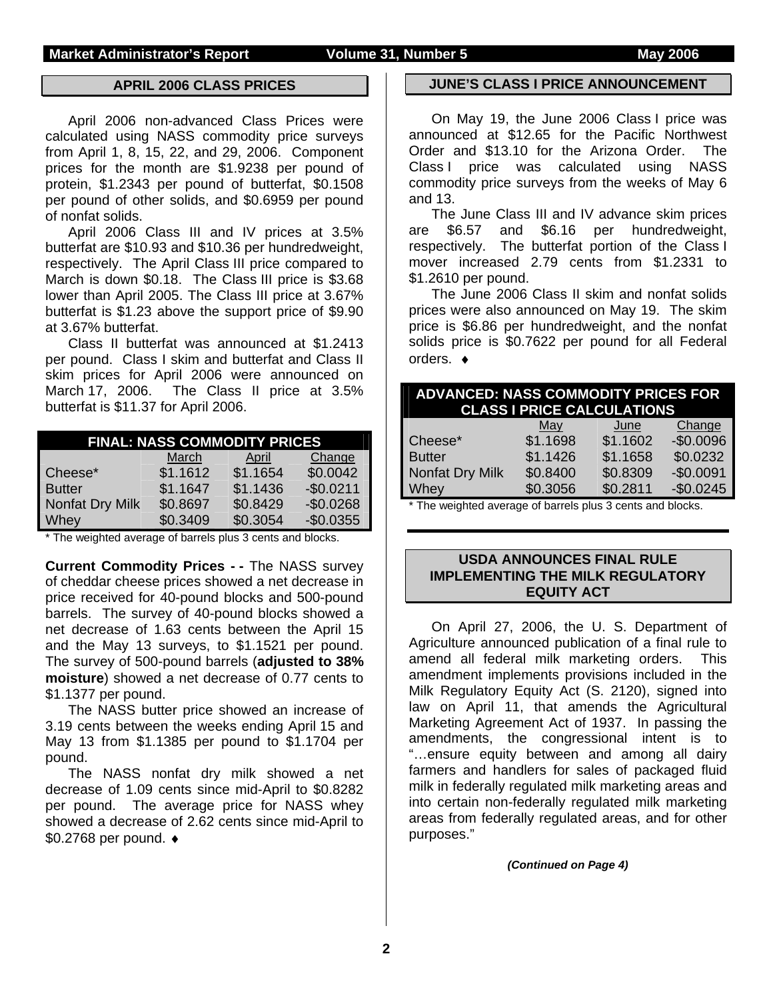#### **APRIL 2006 CLASS PRICES**

April 2006 non-advanced Class Prices were calculated using NASS commodity price surveys from April 1, 8, 15, 22, and 29, 2006. Component prices for the month are \$1.9238 per pound of protein, \$1.2343 per pound of butterfat, \$0.1508 per pound of other solids, and \$0.6959 per pound of nonfat solids.

 April 2006 Class III and IV prices at 3.5% butterfat are \$10.93 and \$10.36 per hundredweight, respectively. The April Class III price compared to March is down \$0.18. The Class III price is \$3.68 lower than April 2005. The Class III price at 3.67% butterfat is \$1.23 above the support price of \$9.90 at 3.67% butterfat.

Class II butterfat was announced at \$1.2413 per pound. Class I skim and butterfat and Class II skim prices for April 2006 were announced on March 17, 2006. The Class II price at 3.5% butterfat is \$11.37 for April 2006.

| <b>FINAL: NASS COMMODITY PRICES</b> |          |          |            |  |  |  |  |  |
|-------------------------------------|----------|----------|------------|--|--|--|--|--|
|                                     | March    | April    | Change     |  |  |  |  |  |
| Cheese*                             | \$1.1612 | \$1.1654 | \$0.0042   |  |  |  |  |  |
| <b>Butter</b>                       | \$1.1647 | \$1.1436 | $-$0.0211$ |  |  |  |  |  |
| Nonfat Dry Milk                     | \$0.8697 | \$0.8429 | $-$0.0268$ |  |  |  |  |  |
| Whey                                | \$0.3409 | \$0.3054 | $-$0.0355$ |  |  |  |  |  |

The weighted average of barrels plus 3 cents and blocks.

**Current Commodity Prices - - The NASS survey** of cheddar cheese prices showed a net decrease in price received for 40-pound blocks and 500-pound barrels. The survey of 40-pound blocks showed a net decrease of 1.63 cents between the April 15 and the May 13 surveys, to \$1.1521 per pound. The survey of 500-pound barrels (**adjusted to 38% moisture**) showed a net decrease of 0.77 cents to \$1.1377 per pound.

The NASS butter price showed an increase of 3.19 cents between the weeks ending April 15 and May 13 from \$1.1385 per pound to \$1.1704 per pound.

The NASS nonfat dry milk showed a net decrease of 1.09 cents since mid-April to \$0.8282 per pound. The average price for NASS whey showed a decrease of 2.62 cents since mid-April to \$0.2768 per pound. ♦

#### **JUNE'S CLASS I PRICE ANNOUNCEMENT**

 On May 19, the June 2006 Class I price was announced at \$12.65 for the Pacific Northwest Order and \$13.10 for the Arizona Order. The Class I price was calculated using NASS commodity price surveys from the weeks of May 6 and 13.

 The June Class III and IV advance skim prices are \$6.57 and \$6.16 per hundredweight, respectively. The butterfat portion of the Class I mover increased 2.79 cents from \$1.2331 to \$1.2610 per pound.

 The June 2006 Class II skim and nonfat solids prices were also announced on May 19. The skim price is \$6.86 per hundredweight, and the nonfat solids price is \$0.7622 per pound for all Federal orders. ♦

| <b>ADVANCED: NASS COMMODITY PRICES FOR</b><br><b>CLASS I PRICE CALCULATIONS</b> |          |          |            |  |  |  |  |
|---------------------------------------------------------------------------------|----------|----------|------------|--|--|--|--|
|                                                                                 | May      | June     | Change     |  |  |  |  |
| Cheese*                                                                         | \$1.1698 | \$1.1602 | $-$0.0096$ |  |  |  |  |
| <b>Butter</b>                                                                   | \$1.1426 | \$1.1658 | \$0.0232   |  |  |  |  |
| Nonfat Dry Milk                                                                 | \$0.8400 | \$0.8309 | $-$0.0091$ |  |  |  |  |
| Whey                                                                            | \$0.3056 | \$0.2811 | $-$0.0245$ |  |  |  |  |
| * The wordsted average of barrels plus 3 cents and blocks                       |          |          |            |  |  |  |  |

The weighted average of barrels plus 3 cents and blocks.

#### **USDA ANNOUNCES FINAL RULE IMPLEMENTING THE MILK REGULATORY EQUITY ACT**

On April 27, 2006, the U. S. Department of Agriculture announced publication of a final rule to amend all federal milk marketing orders. This amendment implements provisions included in the Milk Regulatory Equity Act (S. 2120), signed into law on April 11, that amends the Agricultural Marketing Agreement Act of 1937. In passing the amendments, the congressional intent is to "…ensure equity between and among all dairy farmers and handlers for sales of packaged fluid milk in federally regulated milk marketing areas and into certain non-federally regulated milk marketing areas from federally regulated areas, and for other purposes."

*(Continued on Page 4)*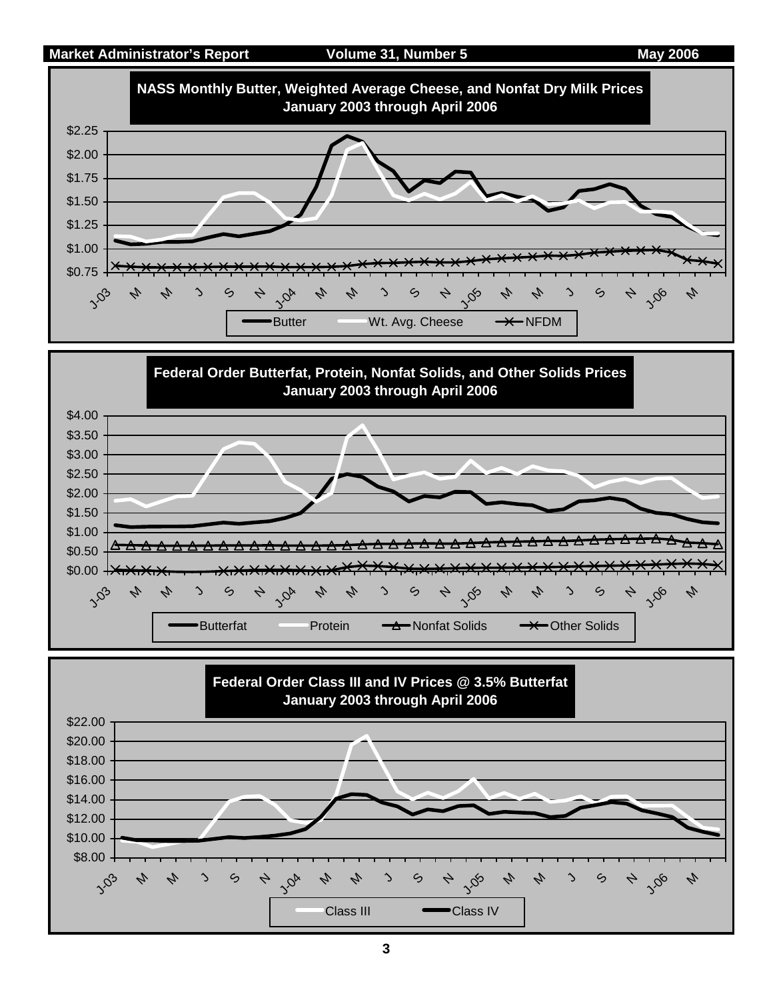



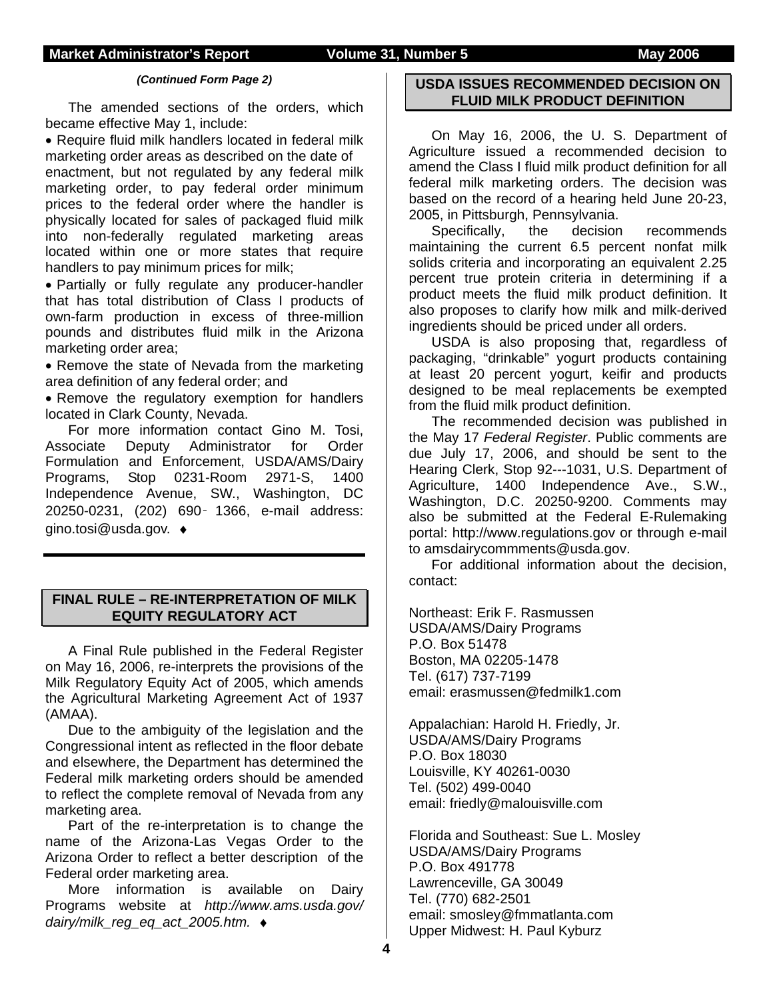#### *(Continued Form Page 2)*

The amended sections of the orders, which became effective May 1, include:

• Require fluid milk handlers located in federal milk marketing order areas as described on the date of enactment, but not regulated by any federal milk marketing order, to pay federal order minimum prices to the federal order where the handler is physically located for sales of packaged fluid milk into non-federally regulated marketing areas located within one or more states that require handlers to pay minimum prices for milk;

• Partially or fully regulate any producer-handler that has total distribution of Class I products of own-farm production in excess of three-million pounds and distributes fluid milk in the Arizona marketing order area;

• Remove the state of Nevada from the marketing area definition of any federal order; and

• Remove the regulatory exemption for handlers located in Clark County, Nevada.

For more information contact Gino M. Tosi, Associate Deputy Administrator for Order Formulation and Enforcement, USDA/AMS/Dairy Programs, Stop 0231-Room 2971-S, 1400 Independence Avenue, SW., Washington, DC 20250-0231, (202) 690‑ 1366, e-mail address: gino.tosi@usda.gov. ♦

### **FINAL RULE – RE-INTERPRETATION OF MILK EQUITY REGULATORY ACT**

A Final Rule published in the Federal Register on May 16, 2006, re-interprets the provisions of the Milk Regulatory Equity Act of 2005, which amends the Agricultural Marketing Agreement Act of 1937 (AMAA).

Due to the ambiguity of the legislation and the Congressional intent as reflected in the floor debate and elsewhere, the Department has determined the Federal milk marketing orders should be amended to reflect the complete removal of Nevada from any marketing area.

Part of the re-interpretation is to change the name of the Arizona-Las Vegas Order to the Arizona Order to reflect a better description of the Federal order marketing area.

More information is available on Dairy Programs website at *http://www.ams.usda.gov/ dairy/milk\_reg\_eq\_act\_2005.htm.* ♦

#### **USDA ISSUES RECOMMENDED DECISION ON FLUID MILK PRODUCT DEFINITION**

On May 16, 2006, the U. S. Department of Agriculture issued a recommended decision to amend the Class I fluid milk product definition for all federal milk marketing orders. The decision was based on the record of a hearing held June 20-23, 2005, in Pittsburgh, Pennsylvania.

Specifically, the decision recommends maintaining the current 6.5 percent nonfat milk solids criteria and incorporating an equivalent 2.25 percent true protein criteria in determining if a product meets the fluid milk product definition. It also proposes to clarify how milk and milk-derived ingredients should be priced under all orders.

USDA is also proposing that, regardless of packaging, "drinkable" yogurt products containing at least 20 percent yogurt, keifir and products designed to be meal replacements be exempted from the fluid milk product definition.

The recommended decision was published in the May 17 *Federal Register*. Public comments are due July 17, 2006, and should be sent to the Hearing Clerk, Stop 92---1031, U.S. Department of Agriculture, 1400 Independence Ave., S.W., Washington, D.C. 20250-9200. Comments may also be submitted at the Federal E-Rulemaking portal: http://www.regulations.gov or through e-mail to amsdairycommments@usda.gov.

For additional information about the decision, contact:

Northeast: Erik F. Rasmussen USDA/AMS/Dairy Programs P.O. Box 51478 Boston, MA 02205-1478 Tel. (617) 737-7199 email: erasmussen@fedmilk1.com

Appalachian: Harold H. Friedly, Jr. USDA/AMS/Dairy Programs P.O. Box 18030 Louisville, KY 40261-0030 Tel. (502) 499-0040 email: friedly@malouisville.com

Florida and Southeast: Sue L. Mosley USDA/AMS/Dairy Programs P.O. Box 491778 Lawrenceville, GA 30049 Tel. (770) 682-2501 email: smosley@fmmatlanta.com Upper Midwest: H. Paul Kyburz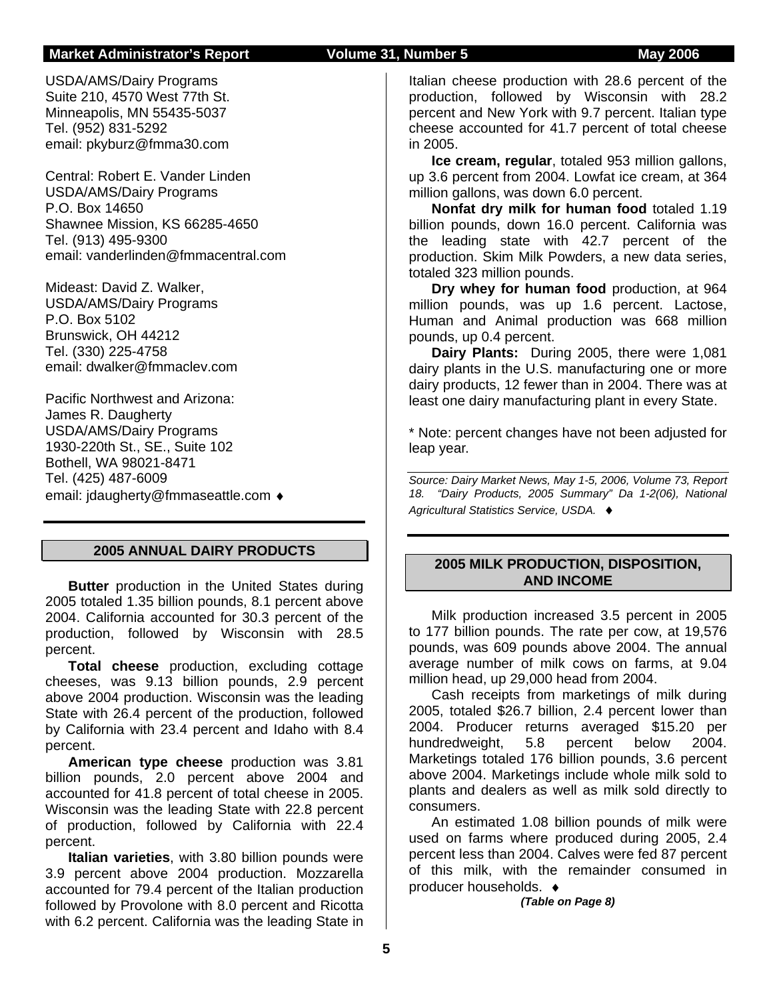#### **Market Administrator's Report Colume 31, Number 5 May 2006**

USDA/AMS/Dairy Programs Suite 210, 4570 West 77th St. Minneapolis, MN 55435-5037 Tel. (952) 831-5292 email: pkyburz@fmma30.com

Central: Robert E. Vander Linden USDA/AMS/Dairy Programs P.O. Box 14650 Shawnee Mission, KS 66285-4650 Tel. (913) 495-9300 email: vanderlinden@fmmacentral.com

Mideast: David Z. Walker, USDA/AMS/Dairy Programs P.O. Box 5102 Brunswick, OH 44212 Tel. (330) 225-4758 email: dwalker@fmmaclev.com

Pacific Northwest and Arizona: James R. Daugherty USDA/AMS/Dairy Programs 1930-220th St., SE., Suite 102 Bothell, WA 98021-8471 Tel. (425) 487-6009 email: jdaugherty@fmmaseattle.com ♦

#### **2005 ANNUAL DAIRY PRODUCTS**

**Butter** production in the United States during 2005 totaled 1.35 billion pounds, 8.1 percent above 2004. California accounted for 30.3 percent of the production, followed by Wisconsin with 28.5 percent.

**Total cheese** production, excluding cottage cheeses, was 9.13 billion pounds, 2.9 percent above 2004 production. Wisconsin was the leading State with 26.4 percent of the production, followed by California with 23.4 percent and Idaho with 8.4 percent.

**American type cheese** production was 3.81 billion pounds, 2.0 percent above 2004 and accounted for 41.8 percent of total cheese in 2005. Wisconsin was the leading State with 22.8 percent of production, followed by California with 22.4 percent.

**Italian varieties**, with 3.80 billion pounds were 3.9 percent above 2004 production. Mozzarella accounted for 79.4 percent of the Italian production followed by Provolone with 8.0 percent and Ricotta with 6.2 percent. California was the leading State in

Italian cheese production with 28.6 percent of the production, followed by Wisconsin with 28.2 percent and New York with 9.7 percent. Italian type cheese accounted for 41.7 percent of total cheese in 2005.

**Ice cream, regular**, totaled 953 million gallons, up 3.6 percent from 2004. Lowfat ice cream, at 364 million gallons, was down 6.0 percent.

**Nonfat dry milk for human food** totaled 1.19 billion pounds, down 16.0 percent. California was the leading state with 42.7 percent of the production. Skim Milk Powders, a new data series, totaled 323 million pounds.

**Dry whey for human food** production, at 964 million pounds, was up 1.6 percent. Lactose, Human and Animal production was 668 million pounds, up 0.4 percent.

**Dairy Plants:** During 2005, there were 1,081 dairy plants in the U.S. manufacturing one or more dairy products, 12 fewer than in 2004. There was at least one dairy manufacturing plant in every State.

\* Note: percent changes have not been adjusted for leap year.

*Source: Dairy Market News, May 1-5, 2006, Volume 73, Report 18. "Dairy Products, 2005 Summary" Da 1-2(06), National Agricultural Statistics Service, USDA.* ♦

### **2005 MILK PRODUCTION, DISPOSITION, AND INCOME**

Milk production increased 3.5 percent in 2005 to 177 billion pounds. The rate per cow, at 19,576 pounds, was 609 pounds above 2004. The annual average number of milk cows on farms, at 9.04 million head, up 29,000 head from 2004.

Cash receipts from marketings of milk during 2005, totaled \$26.7 billion, 2.4 percent lower than 2004. Producer returns averaged \$15.20 per hundredweight, 5.8 percent below 2004. Marketings totaled 176 billion pounds, 3.6 percent above 2004. Marketings include whole milk sold to plants and dealers as well as milk sold directly to consumers.

An estimated 1.08 billion pounds of milk were used on farms where produced during 2005, 2.4 percent less than 2004. Calves were fed 87 percent of this milk, with the remainder consumed in producer households. ♦

*(Table on Page 8)*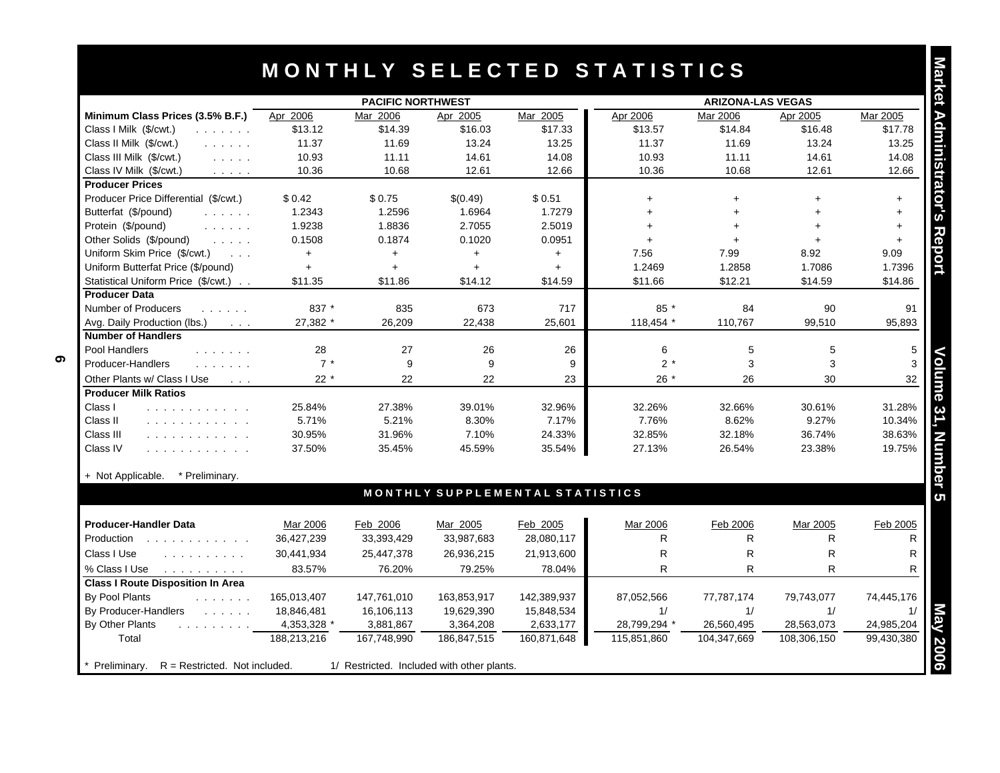|                                                                                                                                                   |             | <b>PACIFIC NORTHWEST</b> |             |                                 |              | <b>ARIZONA-LAS VEGAS</b> |              |            |
|---------------------------------------------------------------------------------------------------------------------------------------------------|-------------|--------------------------|-------------|---------------------------------|--------------|--------------------------|--------------|------------|
| Minimum Class Prices (3.5% B.F.)                                                                                                                  | Apr 2006    | Mar 2006                 | Apr 2005    | Mar 2005                        | Apr 2006     | Mar 2006                 | Apr 2005     | Mar 2005   |
| Class I Milk (\$/cwt.)<br>$\begin{array}{cccccccccccccc} . & . & . & . & . & . & . \end{array}$                                                   | \$13.12     | \$14.39                  | \$16.03     | \$17.33                         | \$13.57      | \$14.84                  | \$16.48      | \$17.78    |
| Class II Milk (\$/cwt.)<br>and a straight                                                                                                         | 11.37       | 11.69                    | 13.24       | 13.25                           | 11.37        | 11.69                    | 13.24        | 13.25      |
| Class III Milk (\$/cwt.)<br>$\mathcal{L}^{\mathcal{A}}$ , $\mathcal{L}^{\mathcal{A}}$ , $\mathcal{L}^{\mathcal{A}}$ , $\mathcal{L}^{\mathcal{A}}$ | 10.93       | 11.11                    | 14.61       | 14.08                           | 10.93        | 11.11                    | 14.61        | 14.08      |
| Class IV Milk (\$/cwt.)<br>$\mathcal{L}^{\mathcal{A}}$ , $\mathcal{L}^{\mathcal{A}}$ , $\mathcal{L}^{\mathcal{A}}$ , $\mathcal{L}^{\mathcal{A}}$  | 10.36       | 10.68                    | 12.61       | 12.66                           | 10.36        | 10.68                    | 12.61        | 12.66      |
| <b>Producer Prices</b>                                                                                                                            |             |                          |             |                                 |              |                          |              |            |
| Producer Price Differential (\$/cwt.)                                                                                                             | \$0.42      | \$0.75                   | \$(0.49)    | \$0.51                          | $\ddot{}$    | $+$                      |              | $+$        |
| Butterfat (\$/pound)<br>and a straight                                                                                                            | 1.2343      | 1.2596                   | 1.6964      | 1.7279                          | $+$          | $+$                      | $+$          | $+$        |
| Protein (\$/pound)<br>and a straight                                                                                                              | 1.9238      | 1.8836                   | 2.7055      | 2.5019                          | $+$          | $+$                      | $\ddot{}$    | $+$        |
| Other Solids (\$/pound)<br>$\mathcal{L}^{\mathcal{A}}$ , $\mathcal{L}^{\mathcal{A}}$ , $\mathcal{L}^{\mathcal{A}}$ , $\mathcal{L}^{\mathcal{A}}$  | 0.1508      | 0.1874                   | 0.1020      | 0.0951                          | $+$          | $+$                      |              | $+$        |
| Uniform Skim Price (\$/cwt.)<br>$\sim$ $\sim$ $\sim$                                                                                              | $+$         | $+$                      | $+$         | $+$                             | 7.56         | 7.99                     | 8.92         | 9.09       |
| Uniform Butterfat Price (\$/pound)                                                                                                                | $\ddot{}$   | $\ddot{}$                | $+$         | $+$                             | 1.2469       | 1.2858                   | 1.7086       | 1.7396     |
| Statistical Uniform Price (\$/cwt.)                                                                                                               | \$11.35     | \$11.86                  | \$14.12     | \$14.59                         | \$11.66      | \$12.21                  | \$14.59      | \$14.86    |
| <b>Producer Data</b>                                                                                                                              |             |                          |             |                                 |              |                          |              |            |
| Number of Producers<br>.                                                                                                                          | 837 *       | 835                      | 673         | 717                             | 85 *         | 84                       | 90           | 91         |
| Avg. Daily Production (lbs.)<br>$\sim 100$ km s $^{-1}$                                                                                           | 27,382 *    | 26,209                   | 22,438      | 25,601                          | 118,454 *    | 110,767                  | 99,510       | 95,893     |
| <b>Number of Handlers</b>                                                                                                                         |             |                          |             |                                 |              |                          |              |            |
| Pool Handlers<br>.                                                                                                                                | 28          | 27                       | 26          | 26                              | 6            | 5                        | 5            | 5          |
| Producer-Handlers<br>and a strain and                                                                                                             | $7*$        | 9                        | 9           | 9                               | $2^*$        | 3                        | 3            | 3          |
| Other Plants w/ Class I Use<br>$\sim$ $\sim$ $\sim$                                                                                               | $22 *$      | 22                       | 22          | 23                              | $26*$        | 26                       | 30           | 32         |
| <b>Producer Milk Ratios</b>                                                                                                                       |             |                          |             |                                 |              |                          |              |            |
| Class I<br>and a straightful and a straight                                                                                                       | 25.84%      | 27.38%                   | 39.01%      | 32.96%                          | 32.26%       | 32.66%                   | 30.61%       | 31.28%     |
| Class II<br>.                                                                                                                                     | 5.71%       | 5.21%                    | 8.30%       | 7.17%                           | 7.76%        | 8.62%                    | 9.27%        | 10.34%     |
| Class III<br>.                                                                                                                                    | 30.95%      | 31.96%                   | 7.10%       | 24.33%                          | 32.85%       | 32.18%                   | 36.74%       | 38.63%     |
| Class IV<br>.                                                                                                                                     | 37.50%      | 35.45%                   | 45.59%      | 35.54%                          | 27.13%       | 26.54%                   | 23.38%       | 19.75%     |
| + Not Applicable.<br>* Preliminary.                                                                                                               |             |                          |             |                                 |              |                          |              |            |
|                                                                                                                                                   |             |                          |             | MONTHLY SUPPLEMENTAL STATISTICS |              |                          |              |            |
| <b>Producer-Handler Data</b>                                                                                                                      | Mar 2006    | Feb 2006                 | Mar 2005    | Feb 2005                        | Mar 2006     | Feb 2006                 | Mar 2005     | Feb 2005   |
| Production                                                                                                                                        | 36,427,239  | 33,393,429               | 33,987,683  | 28,080,117                      | R            | R                        | R            | R          |
| Class I Use<br>and a straight and a                                                                                                               | 30,441,934  | 25,447,378               | 26,936,215  | 21,913,600                      | R            | R                        | $\mathsf{R}$ | R          |
|                                                                                                                                                   |             |                          |             |                                 |              |                          |              |            |
| % Class I Use<br>and a straightful control of                                                                                                     | 83.57%      | 76.20%                   | 79.25%      | 78.04%                          | R            | R.                       | R            | R          |
| <b>Class I Route Disposition In Area</b>                                                                                                          |             |                          |             |                                 |              |                          |              |            |
| By Pool Plants<br>and a straight                                                                                                                  | 165,013,407 | 147,761,010              | 163,853,917 | 142,389,937                     | 87,052,566   | 77,787,174               | 79,743,077   | 74,445,176 |
| By Producer-Handlers<br>and the company of                                                                                                        | 18,846,481  | 16,106,113               | 19,629,390  | 15,848,534                      | 1/           | 1/                       | 1/           | 1/         |
| By Other Plants<br>and a series and a                                                                                                             | 4,353,328 * | 3,881,867                | 3,364,208   | 2,633,177                       | 28,799,294 * | 26,560,495               | 28,563,073   | 24,985,204 |

| <b>Producer-Handler Data</b>                    | Mar 2006    | Feb 2006    | Mar 2005                                   | Feb 2005    | Mar 2006     | Feb 2006    | Mar 2005    | Feb 2005   |
|-------------------------------------------------|-------------|-------------|--------------------------------------------|-------------|--------------|-------------|-------------|------------|
| Production                                      | 36,427,239  | 33,393,429  | 33,987,683                                 | 28,080,117  | R            | R           | R           |            |
| Class I Use                                     | 30,441,934  | 25,447,378  | 26,936,215                                 | 21,913,600  | R            | R           | R           |            |
| % Class I Use<br>.                              | 83.57%      | 76.20%      | 79.25%                                     | 78.04%      | R            | R           | R.          |            |
| <b>Class I Route Disposition In Area</b>        |             |             |                                            |             |              |             |             |            |
| By Pool Plants<br>and the state of the          | 165,013,407 | 147,761,010 | 163.853.917                                | 142,389,937 | 87,052,566   | 77.787.174  | 79.743.077  | 74,445,176 |
| By Producer-Handlers<br>and a state of          | 18,846,481  | 16.106.113  | 19,629,390                                 | 15,848,534  |              |             |             |            |
| By Other Plants<br>and a series and a series    | 4,353,328 * | 3,881,867   | 3,364,208                                  | 2,633,177   | 28,799,294 * | 26,560,495  | 28,563,073  | 24,985,204 |
| Total                                           | 188.213.216 | 167.748.990 | 186,847,515                                | 160,871,648 | 115,851,860  | 104,347,669 | 108,306,150 | 99,430,380 |
|                                                 |             |             |                                            |             |              |             |             |            |
| Preliminary.<br>$R =$ Restricted. Not included. |             |             | 1/ Restricted. Included with other plants. |             |              |             |             |            |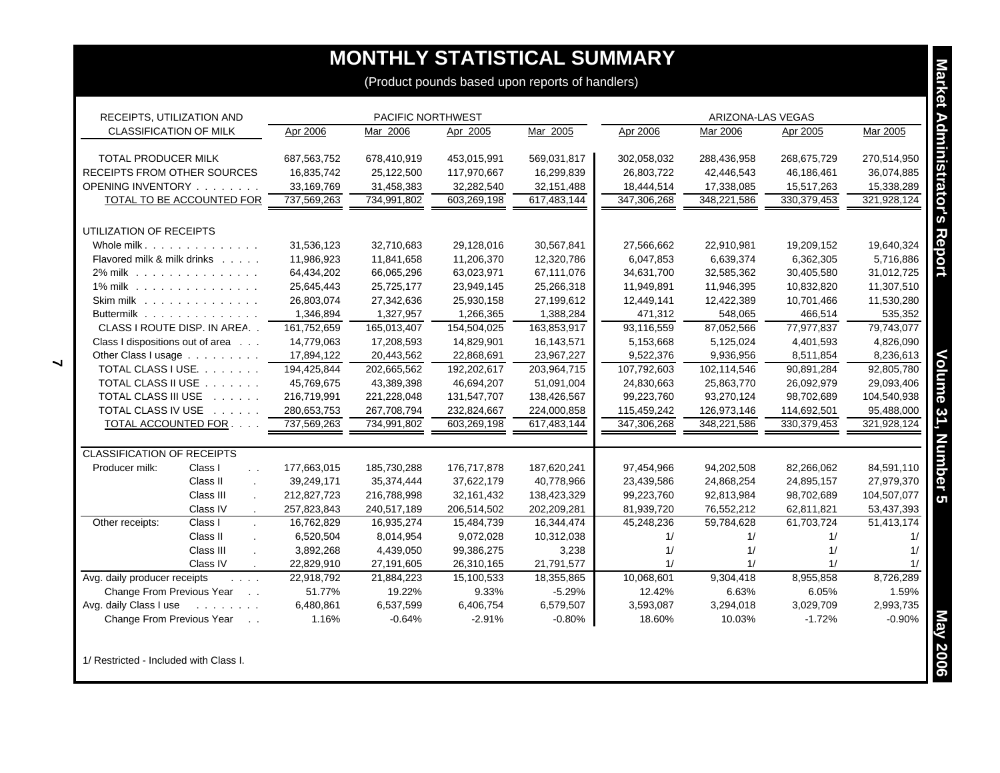# **MONTHLY STATISTICAL SUMMARY**

| RECEIPTS, UTILIZATION AND                                                                                               |             | PACIFIC NORTHWEST |              |             |             | ARIZONA-LAS VEGAS |               |             |
|-------------------------------------------------------------------------------------------------------------------------|-------------|-------------------|--------------|-------------|-------------|-------------------|---------------|-------------|
| <b>CLASSIFICATION OF MILK</b>                                                                                           | Apr 2006    | Mar 2006          | Apr 2005     | Mar 2005    | Apr 2006    | Mar 2006          | Apr 2005      | Mar 2005    |
| <b>TOTAL PRODUCER MILK</b>                                                                                              | 687,563,752 | 678,410,919       | 453,015,991  | 569,031,817 | 302,058,032 | 288,436,958       | 268,675,729   | 270,514,950 |
| <b>RECEIPTS FROM OTHER SOURCES</b>                                                                                      | 16,835,742  | 25,122,500        | 117,970,667  | 16,299,839  | 26,803,722  | 42,446,543        | 46,186,461    | 36,074,885  |
| OPENING INVENTORY                                                                                                       | 33,169,769  | 31,458,383        | 32,282,540   | 32,151,488  | 18,444,514  | 17,338,085        | 15,517,263    | 15,338,289  |
| TOTAL TO BE ACCOUNTED FOR                                                                                               | 737,569,263 | 734,991,802       | 603,269,198  | 617,483,144 | 347,306,268 | 348,221,586       | 330, 379, 453 | 321,928,124 |
| UTILIZATION OF RECEIPTS                                                                                                 |             |                   |              |             |             |                   |               |             |
| Whole milk.                                                                                                             | 31,536,123  | 32,710,683        | 29,128,016   | 30,567,841  | 27,566,662  | 22,910,981        | 19,209,152    | 19,640,324  |
| Flavored milk & milk drinks                                                                                             | 11,986,923  | 11,841,658        | 11,206,370   | 12,320,786  | 6,047,853   | 6,639,374         | 6,362,305     | 5,716,886   |
| 2% milk                                                                                                                 | 64,434,202  | 66,065,296        | 63,023,971   | 67,111,076  | 34,631,700  | 32,585,362        | 30,405,580    | 31,012,725  |
| 1% milk                                                                                                                 | 25,645,443  | 25,725,177        | 23,949,145   | 25,266,318  | 11,949,891  | 11,946,395        | 10,832,820    | 11,307,510  |
| Skim milk                                                                                                               | 26,803,074  | 27,342,636        | 25,930,158   | 27,199,612  | 12,449,141  | 12,422,389        | 10,701,466    | 11,530,280  |
| Buttermilk                                                                                                              | 1,346,894   | 1,327,957         | 1,266,365    | 1,388,284   | 471,312     | 548,065           | 466,514       | 535,352     |
| CLASS I ROUTE DISP. IN AREA                                                                                             | 161,752,659 | 165,013,407       | 154,504,025  | 163,853,917 | 93,116,559  | 87,052,566        | 77,977,837    | 79,743,077  |
| Class I dispositions out of area                                                                                        | 14,779,063  | 17,208,593        | 14,829,901   | 16,143,571  | 5,153,668   | 5,125,024         | 4,401,593     | 4,826,090   |
| Other Class I usage                                                                                                     | 17,894,122  | 20,443,562        | 22,868,691   | 23,967,227  | 9,522,376   | 9,936,956         | 8,511,854     | 8,236,613   |
| TOTAL CLASS I USE.                                                                                                      | 194,425,844 | 202,665,562       | 192,202,617  | 203,964,715 | 107,792,603 | 102,114,546       | 90,891,284    | 92,805,780  |
| TOTAL CLASS II USE                                                                                                      | 45,769,675  | 43,389,398        | 46,694,207   | 51,091,004  | 24,830,663  | 25,863,770        | 26,092,979    | 29,093,406  |
| TOTAL CLASS III USE                                                                                                     | 216,719,991 | 221,228,048       | 131,547,707  | 138,426,567 | 99,223,760  | 93,270,124        | 98,702,689    | 104,540,938 |
| TOTAL CLASS IV USE                                                                                                      | 280,653,753 | 267,708,794       | 232,824,667  | 224,000,858 | 115,459,242 | 126,973,146       | 114,692,501   | 95,488,000  |
| TOTAL ACCOUNTED FOR.                                                                                                    | 737,569,263 | 734,991,802       | 603,269,198  | 617,483,144 | 347.306.268 | 348,221,586       | 330, 379, 453 | 321,928,124 |
| <b>CLASSIFICATION OF RECEIPTS</b>                                                                                       |             |                   |              |             |             |                   |               |             |
| Producer milk:<br>Class I<br>$\sim$ $\sim$                                                                              | 177,663,015 | 185,730,288       | 176,717,878  | 187,620,241 | 97,454,966  | 94,202,508        | 82,266,062    | 84,591,110  |
| Class II                                                                                                                | 39,249,171  | 35,374,444        | 37,622,179   | 40,778,966  | 23,439,586  | 24,868,254        | 24,895,157    | 27,979,370  |
| Class III                                                                                                               | 212,827,723 | 216,788,998       | 32, 161, 432 | 138,423,329 | 99,223,760  | 92,813,984        | 98,702,689    | 104,507,077 |
| Class IV                                                                                                                | 257,823,843 | 240,517,189       | 206,514,502  | 202,209,281 | 81,939,720  | 76,552,212        | 62,811,821    | 53,437,393  |
| Other receipts:<br>Class I                                                                                              | 16,762,829  | 16,935,274        | 15,484,739   | 16,344,474  | 45,248,236  | 59,784,628        | 61,703,724    | 51,413,174  |
| Class II                                                                                                                | 6,520,504   | 8,014,954         | 9,072,028    | 10,312,038  | 1/          | 1/                | 1/            | 1/          |
| Class III                                                                                                               | 3,892,268   | 4,439,050         | 99,386,275   | 3,238       | 1/          | 1/                | 1/            | 1/          |
| Class IV<br>$\cdot$                                                                                                     | 22,829,910  | 27,191,605        | 26,310,165   | 21,791,577  | 1/          | 1/                | 1/            | 1/          |
| Avg. daily producer receipts<br>$\mathcal{L}^{\mathcal{A}}$ , $\mathcal{L}^{\mathcal{A}}$ , $\mathcal{L}^{\mathcal{A}}$ | 22,918,792  | 21,884,223        | 15,100,533   | 18,355,865  | 10,068,601  | 9,304,418         | 8,955,858     | 8,726,289   |
| Change From Previous Year<br>$\sim 10$ .                                                                                | 51.77%      | 19.22%            | 9.33%        | $-5.29%$    | 12.42%      | 6.63%             | 6.05%         | 1.59%       |
| Avg. daily Class I use<br>and the state of the state                                                                    | 6,480,861   | 6,537,599         | 6,406,754    | 6,579,507   | 3,593,087   | 3,294,018         | 3,029,709     | 2,993,735   |
| Change From Previous Year<br>$\ddot{\phantom{0}}$                                                                       | 1.16%       | $-0.64%$          | $-2.91%$     | $-0.80%$    | 18.60%      | 10.03%            | $-1.72%$      | $-0.90%$    |